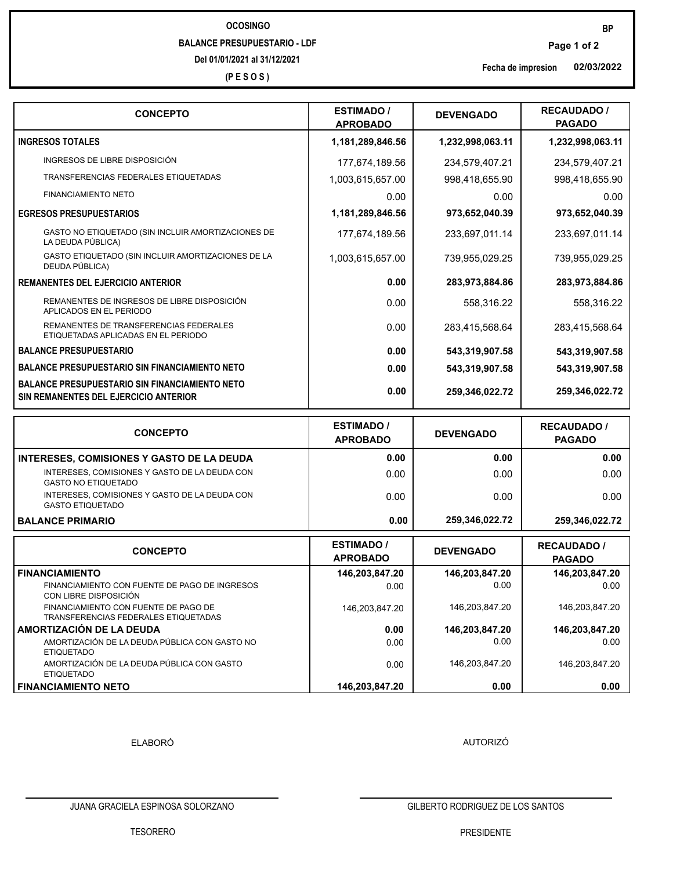**Page 1 of 2**

## **OCOSINGO BALANCE PRESUPUESTARIO - LDF**

**Del 01/01/2021 al 31/12/2021**

**(P E S O S )**

**02/03/2022 Fecha de impresion**

| <b>CONCEPTO</b>                                                                                | <b>ESTIMADO /</b><br><b>APROBADO</b> | <b>DEVENGADO</b> | <b>RECAUDADO /</b><br><b>PAGADO</b> |
|------------------------------------------------------------------------------------------------|--------------------------------------|------------------|-------------------------------------|
| <b>INGRESOS TOTALES</b>                                                                        | 1,181,289,846.56                     | 1,232,998,063.11 | 1,232,998,063.11                    |
| INGRESOS DE LIBRE DISPOSICIÓN                                                                  | 177,674,189.56                       | 234,579,407.21   | 234,579,407.21                      |
| TRANSFERENCIAS FEDERALES ETIQUETADAS                                                           | 1,003,615,657.00                     | 998,418,655.90   | 998,418,655.90                      |
| <b>FINANCIAMIENTO NETO</b>                                                                     | 0.00                                 | 0.00             | 0.00                                |
| <b>EGRESOS PRESUPUESTARIOS</b>                                                                 | 1,181,289,846.56                     | 973,652,040.39   | 973,652,040.39                      |
| GASTO NO ETIQUETADO (SIN INCLUIR AMORTIZACIONES DE<br>LA DEUDA PÚBLICA)                        | 177,674,189.56                       | 233,697,011.14   | 233,697,011.14                      |
| GASTO ETIQUETADO (SIN INCLUIR AMORTIZACIONES DE LA<br>DEUDA PÚBLICA)                           | 1,003,615,657.00                     | 739,955,029.25   | 739,955,029.25                      |
| <b>REMANENTES DEL EJERCICIO ANTERIOR</b>                                                       | 0.00                                 | 283,973,884.86   | 283,973,884.86                      |
| REMANENTES DE INGRESOS DE LIBRE DISPOSICIÓN<br>APLICADOS EN EL PERIODO                         | 0.00                                 | 558.316.22       | 558,316.22                          |
| REMANENTES DE TRANSFERENCIAS FEDERALES<br>ETIQUETADAS APLICADAS EN EL PERIODO                  | 0.00                                 | 283,415,568.64   | 283,415,568.64                      |
| <b>BALANCE PRESUPUESTARIO</b>                                                                  | 0.00                                 | 543,319,907.58   | 543,319,907.58                      |
| <b>BALANCE PRESUPUESTARIO SIN FINANCIAMIENTO NETO</b>                                          | 0.00                                 | 543,319,907.58   | 543,319,907.58                      |
| <b>BALANCE PRESUPUESTARIO SIN FINANCIAMIENTO NETO</b><br>SIN REMANENTES DEL EJERCICIO ANTERIOR | 0.00                                 | 259,346,022.72   | 259,346,022.72                      |
| <b>CONCEPTO</b>                                                                                | <b>ESTIMADO /</b><br><b>APROBADO</b> | <b>DEVENGADO</b> | <b>RECAUDADO /</b><br><b>PAGADO</b> |
| <b>INTERESES, COMISIONES Y GASTO DE LA DEUDA</b>                                               | 0.00                                 | 0.00             | 0.00                                |
| INTERESES, COMISIONES Y GASTO DE LA DEUDA CON<br><b>GASTO NO ETIQUETADO</b>                    | 0.00                                 | 0.00             | 0.00                                |
| INTERESES, COMISIONES Y GASTO DE LA DEUDA CON<br><b>GASTO ETIQUETADO</b>                       | 0.00                                 | 0.00             | 0.00                                |
| <b>BALANCE PRIMARIO</b>                                                                        | 0.00                                 | 259,346,022.72   | 259,346,022.72                      |
| <b>CONCEPTO</b>                                                                                | <b>ESTIMADO /</b><br><b>APROBADO</b> | <b>DEVENGADO</b> | <b>RECAUDADO /</b><br><b>PAGADO</b> |

| <b>CONCEPTO</b>                                                              | LJIIMADU /<br><b>APROBADO</b> | <b>DEVENGADO</b> | REGAUDADU I<br><b>PAGADO</b> |
|------------------------------------------------------------------------------|-------------------------------|------------------|------------------------------|
| <b>FINANCIAMIENTO</b>                                                        | 146,203,847.20                | 146,203,847.20   | 146,203,847.20               |
| FINANCIAMIENTO CON FUENTE DE PAGO DE INGRESOS<br>CON LIBRE DISPOSICIÓN       | 0.00                          | 0.00             | 0.00                         |
| FINANCIAMIENTO CON FUENTE DE PAGO DE<br>TRANSFERENCIAS FEDERALES ETIQUETADAS | 146,203,847.20                | 146,203,847.20   | 146,203,847.20               |
| <b>AMORTIZACIÓN DE LA DEUDA</b>                                              | 0.00                          | 146,203,847.20   | 146,203,847.20               |
| AMORTIZACIÓN DE LA DEUDA PÚBLICA CON GASTO NO<br><b>ETIQUETADO</b>           | 0.00                          | 0.00             | 0.00                         |
| AMORTIZACIÓN DE LA DEUDA PÚBLICA CON GASTO<br><b>ETIQUETADO</b>              | 0.00                          | 146.203.847.20   | 146,203,847.20               |
| <b>FINANCIAMIENTO NETO</b>                                                   | 146,203,847.20                | 0.00             | 0.00                         |

ELABORÓ AUTORIZÓ

GILBERTO RODRIGUEZ DE LOS SANTOS